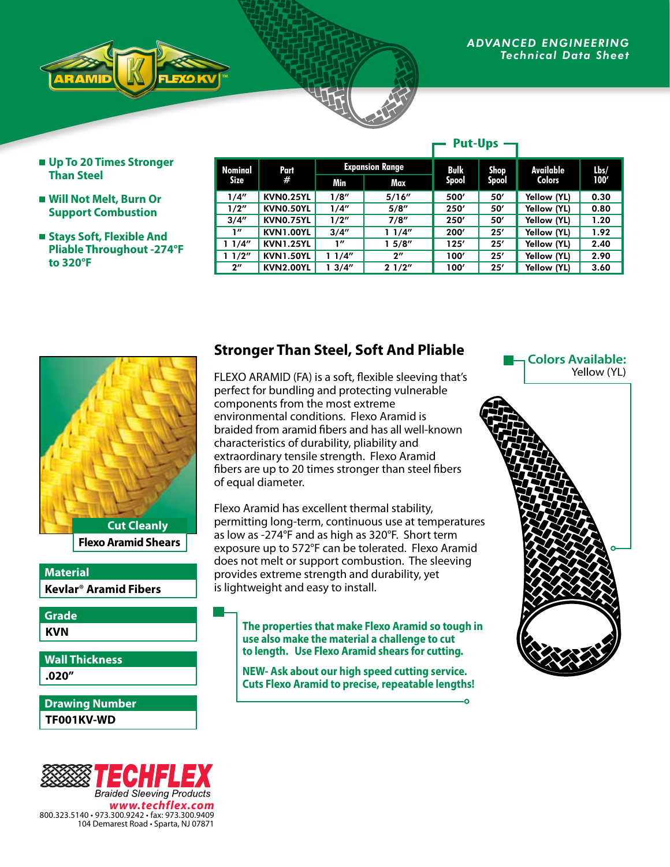**Up To 20 Times Stronger Than Steel**

*ADVANCED ENGINEERING* **The Contract of the Sheet** 

- **Will Not Melt, Burn Or Support Combustion**
- Stays Soft, Flexible And **Pliable Throughout -274°F to 320°F**

| <b>Nominal</b><br>Size | Part<br>#        | <b>Expansion Range</b> |                    | Bulk         | Shop  | Available     | $l$ <sub>bs</sub> / |
|------------------------|------------------|------------------------|--------------------|--------------|-------|---------------|---------------------|
|                        |                  | Min                    | Max                | <b>Spool</b> | Spool | <b>Colors</b> | 100'                |
| 1/4"                   | <b>KVN0.25YL</b> | 1/8''                  | 5/16''             | 500'         | 50'   | Yellow (YL)   | 0.30                |
| 1/2"                   | KVN0.50YL        | 1/4"                   | 5/8''              | 250'         | 50'   | Yellow (YL)   | 0.80                |
| 3/4''                  | KVN0.75YL        | 1/2"                   | 7/8"               | 250'         | 50'   | Yellow (YL)   | 1.20                |
| 1''                    | <b>KVN1.00YL</b> | 3/4''                  | 11/4"              | 200'         | 25'   | Yellow (YL)   | 1.92                |
| 11/4"                  | <b>KVN1.25YL</b> | 1''                    | 15/8''             | 125'         | 25'   | Yellow (YL)   | 2.40                |
| 11/2"                  | <b>KVN1.50YL</b> | 1 1/4″                 | $2^{\prime\prime}$ | 100'         | 25'   | Yellow (YL)   | 2.90                |
| $2^{\prime\prime}$     | <b>KVN2.00YL</b> | 13/4"                  | 21/2"              | 100'         | 25'   | Yellow (YL)   | 3.60                |

**Put-Ups**



**Flexo Aramid Shears**

### **Kevlar**® **Aramid Fibers Material**

**KVN Grade**

**.020" Wall Thickness**

**TF001KV-WD Drawing Number**



## **Stronger Than Steel, Soft And Pliable**

FLEXO ARAMID (FA) is a soft, flexible sleeving that's perfect for bundling and protecting vulnerable components from the most extreme environmental conditions. Flexo Aramid is braided from aramid fibers and has all well-known characteristics of durability, pliability and extraordinary tensile strength. Flexo Aramid fibers are up to 20 times stronger than steel fibers of equal diameter.

Flexo Aramid has excellent thermal stability, permitting long-term, continuous use at temperatures as low as -274°F and as high as 320°F. Short term exposure up to 572°F can be tolerated. Flexo Aramid does not melt or support combustion. The sleeving provides extreme strength and durability, yet is lightweight and easy to install.

#### **The properties that make Flexo Aramid so tough in use also make the material a challenge to cut to length. Use Flexo Aramid shears for cutting.**

**NEW- Ask about our high speed cutting service. Cuts Flexo Aramid to precise, repeatable lengths!**

 $\overline{\phantom{0}}$ 

#### **Colors Available:** Yellow (YL)